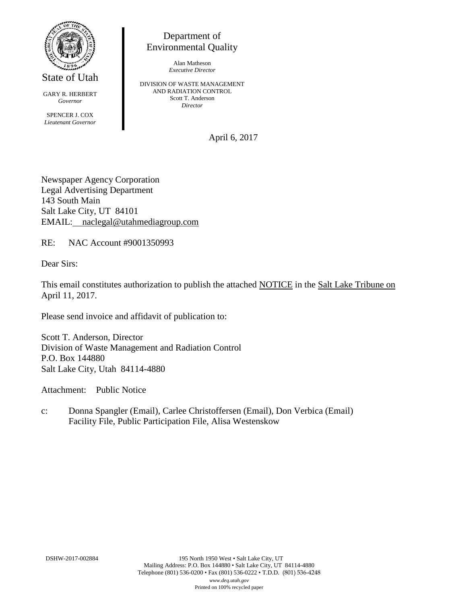

State of Utah

GARY R. HERBERT *Governor* SPENCER J. COX *Lieutenant Governor*

Department of Environmental Quality

> Alan Matheson *Executive Director*

DIVISION OF WASTE MANAGEMENT AND RADIATION CONTROL Scott T. Anderson *Director*

April 6, 2017

Newspaper Agency Corporation Legal Advertising Department 143 South Main Salt Lake City, UT 84101 EMAIL: naclegal@utahmediagroup.com

RE: NAC Account #9001350993

Dear Sirs:

This email constitutes authorization to publish the attached NOTICE in the Salt Lake Tribune on April 11, 2017.

Please send invoice and affidavit of publication to:

Scott T. Anderson, Director Division of Waste Management and Radiation Control P.O. Box 144880 Salt Lake City, Utah 84114-4880

Attachment: Public Notice

c: Donna Spangler (Email), Carlee Christoffersen (Email), Don Verbica (Email) Facility File, Public Participation File, Alisa Westenskow